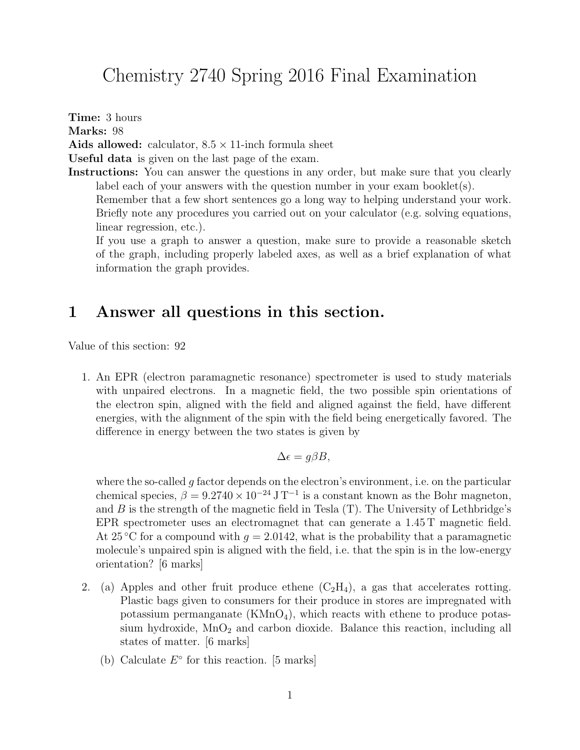## Chemistry 2740 Spring 2016 Final Examination

Time: 3 hours Marks: 98 Aids allowed: calculator,  $8.5 \times 11$ -inch formula sheet Useful data is given on the last page of the exam. Instructions: You can answer the questions in any order, but make sure that you clearly label each of your answers with the question number in your exam booklet $(s)$ . Remember that a few short sentences go a long way to helping understand your work. Briefly note any procedures you carried out on your calculator (e.g. solving equations, linear regression, etc.).

If you use a graph to answer a question, make sure to provide a reasonable sketch of the graph, including properly labeled axes, as well as a brief explanation of what information the graph provides.

#### 1 Answer all questions in this section.

Value of this section: 92

1. An EPR (electron paramagnetic resonance) spectrometer is used to study materials with unpaired electrons. In a magnetic field, the two possible spin orientations of the electron spin, aligned with the field and aligned against the field, have different energies, with the alignment of the spin with the field being energetically favored. The difference in energy between the two states is given by

$$
\Delta \epsilon = g\beta B,
$$

where the so-called  $q$  factor depends on the electron's environment, i.e. on the particular chemical species,  $\beta = 9.2740 \times 10^{-24} \,\mathrm{J} \,\mathrm{T}^{-1}$  is a constant known as the Bohr magneton, and  $B$  is the strength of the magnetic field in Tesla  $(T)$ . The University of Lethbridge's EPR spectrometer uses an electromagnet that can generate a  $1.45$  T magnetic field. At 25 °C for a compound with  $q = 2.0142$ , what is the probability that a paramagnetic molecule's unpaired spin is aligned with the field, i.e. that the spin is in the low-energy orientation? [6 marks]

- 2. (a) Apples and other fruit produce ethene  $(C_2H_4)$ , a gas that accelerates rotting. Plastic bags given to consumers for their produce in stores are impregnated with potassium permanganate  $(KMnO<sub>4</sub>)$ , which reacts with ethene to produce potassium hydroxide,  $MnO<sub>2</sub>$  and carbon dioxide. Balance this reaction, including all states of matter. [6 marks]
	- (b) Calculate  $E^{\circ}$  for this reaction. [5 marks]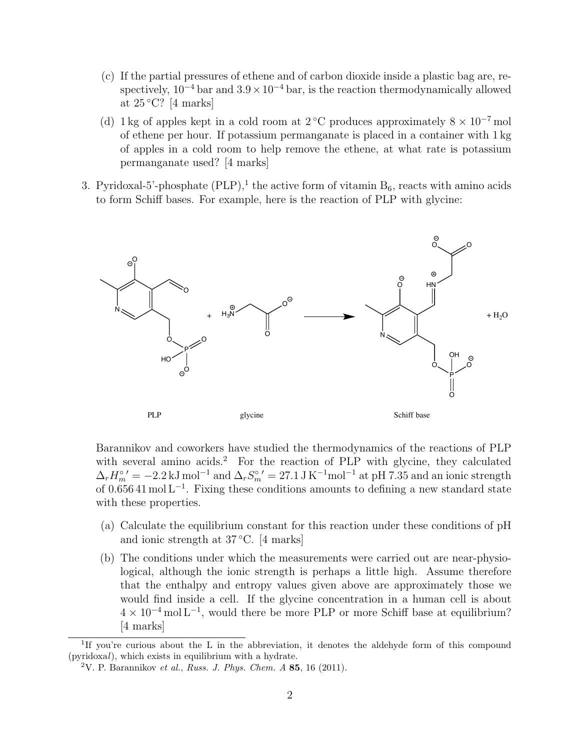- (c) If the partial pressures of ethene and of carbon dioxide inside a plastic bag are, respectively,  $10^{-4}$  bar and  $3.9 \times 10^{-4}$  bar, is the reaction thermodynamically allowed at  $25^{\circ}$ C? [4 marks]
- (d) 1 kg of apples kept in a cold room at 2 °C produces approximately  $8 \times 10^{-7}$  mol of ethene per hour. If potassium permanganate is placed in a container with 1 kg of apples in a cold room to help remove the ethene, at what rate is potassium permanganate used? [4 marks]
- 3. Pyridoxal-5'-phosphate  $(PLP)$ ,<sup>1</sup> the active form of vitamin  $B_6$ , reacts with amino acids to form Schiff bases. For example, here is the reaction of PLP with glycine:



Barannikov and coworkers have studied the thermodynamics of the reactions of PLP with several amino acids.<sup>2</sup> For the reaction of PLP with glycine, they calculated  $\Delta_r H_m^{\circ'} = -2.2 \text{ kJ mol}^{-1}$  and  $\Delta_r S_m^{\circ'} = 27.1 \text{ J K}^{-1} \text{mol}^{-1}$  at pH 7.35 and an ionic strength of 0.656 41 mol L<sup>−</sup><sup>1</sup> . Fixing these conditions amounts to defining a new standard state with these properties.

- (a) Calculate the equilibrium constant for this reaction under these conditions of pH and ionic strength at 37 ◦C. [4 marks]
- (b) The conditions under which the measurements were carried out are near-physiological, although the ionic strength is perhaps a little high. Assume therefore that the enthalpy and entropy values given above are approximately those we would find inside a cell. If the glycine concentration in a human cell is about  $4 \times 10^{-4}$  mol L<sup>-1</sup>, would there be more PLP or more Schiff base at equilibrium? [4 marks]

<sup>&</sup>lt;sup>1</sup>If you're curious about the L in the abbreviation, it denotes the aldehyde form of this compound (pyridoxal), which exists in equilibrium with a hydrate.

<sup>&</sup>lt;sup>2</sup>V. P. Barannikov et al., Russ. J. Phys. Chem. A 85, 16 (2011).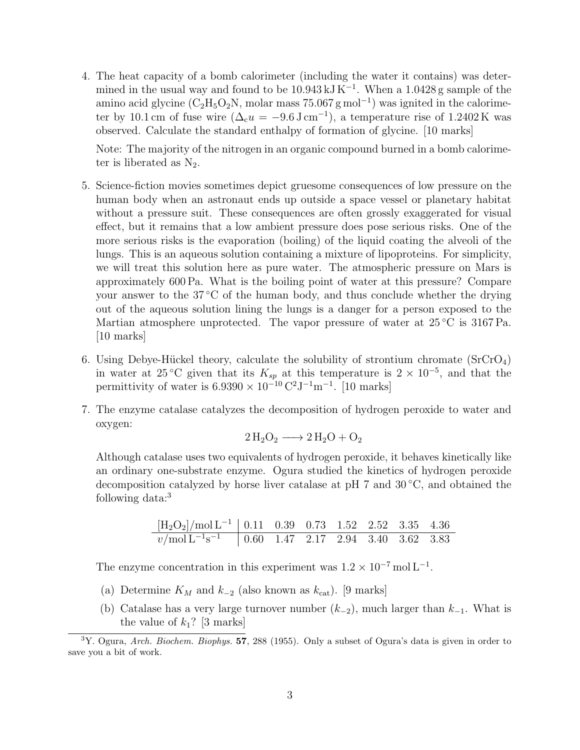4. The heat capacity of a bomb calorimeter (including the water it contains) was determined in the usual way and found to be  $10.943 \text{ kJ K}^{-1}$ . When a  $1.0428 \text{ g sample of the}$ amino acid glycine ( $C_2H_5O_2N$ , molar mass 75.067 g mol<sup>-1</sup>) was ignited in the calorimeter by 10.1 cm of fuse wire  $(\Delta_c u = -9.6 \,\mathrm{J \, cm^{-1}})$ , a temperature rise of 1.2402 K was observed. Calculate the standard enthalpy of formation of glycine. [10 marks]

Note: The majority of the nitrogen in an organic compound burned in a bomb calorimeter is liberated as  $N_2$ .

- 5. Science-fiction movies sometimes depict gruesome consequences of low pressure on the human body when an astronaut ends up outside a space vessel or planetary habitat without a pressure suit. These consequences are often grossly exaggerated for visual effect, but it remains that a low ambient pressure does pose serious risks. One of the more serious risks is the evaporation (boiling) of the liquid coating the alveoli of the lungs. This is an aqueous solution containing a mixture of lipoproteins. For simplicity, we will treat this solution here as pure water. The atmospheric pressure on Mars is approximately 600 Pa. What is the boiling point of water at this pressure? Compare your answer to the  $37^{\circ}$ C of the human body, and thus conclude whether the drying out of the aqueous solution lining the lungs is a danger for a person exposed to the Martian atmosphere unprotected. The vapor pressure of water at  $25\degree C$  is 3167 Pa. [10 marks]
- 6. Using Debye-Hückel theory, calculate the solubility of strontium chromate  $(SrCrO<sub>4</sub>)$ in water at 25 °C given that its  $K_{sp}$  at this temperature is  $2 \times 10^{-5}$ , and that the permittivity of water is  $6.9390 \times 10^{-10} \text{ C}^2 \text{J}^{-1} \text{m}^{-1}$ . [10 marks]
- 7. The enzyme catalase catalyzes the decomposition of hydrogen peroxide to water and oxygen:

$$
2\,\mathrm{H}_2\mathrm{O}_2 \longrightarrow 2\,\mathrm{H}_2\mathrm{O} + \mathrm{O}_2
$$

Although catalase uses two equivalents of hydrogen peroxide, it behaves kinetically like an ordinary one-substrate enzyme. Ogura studied the kinetics of hydrogen peroxide decomposition catalyzed by horse liver catalase at pH 7 and 30 ◦C, and obtained the following data:<sup>3</sup>

$$
\frac{\text{[H}_2\text{O}_2\text{]}}{\frac{v}{\text{mol L}^{-1} \text{s}^{-1}}}
$$
 0.11 0.39 0.73 1.52 2.52 3.35 4.36  
0.7000 L<sup>-1</sup> s<sup>-1</sup> 0.60 1.47 2.17 2.94 3.40 3.62 3.83

The enzyme concentration in this experiment was  $1.2 \times 10^{-7}$  mol L<sup>-1</sup>.

- (a) Determine  $K_M$  and  $k_{-2}$  (also known as  $k_{\text{cat}}$ ). [9 marks]
- (b) Catalase has a very large turnover number  $(k_{-2})$ , much larger than  $k_{-1}$ . What is the value of  $k_1$ ? [3 marks]

 $3Y.$  Ogura, Arch. Biochem. Biophys. 57, 288 (1955). Only a subset of Ogura's data is given in order to save you a bit of work.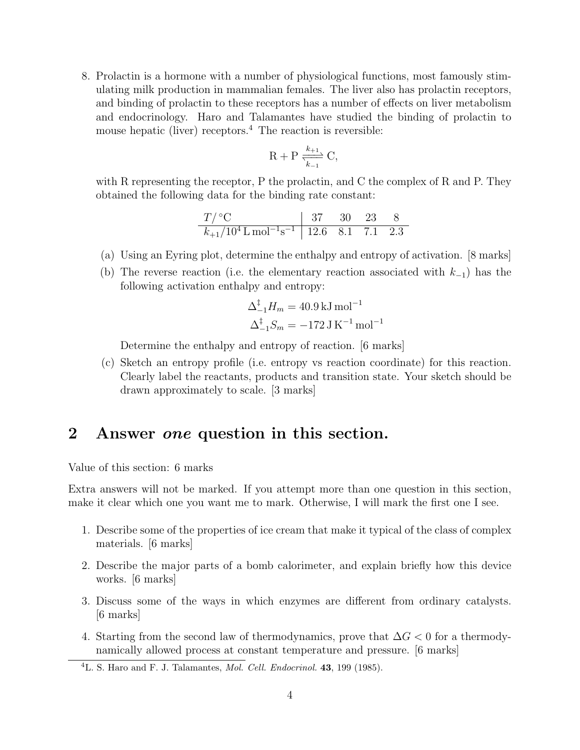8. Prolactin is a hormone with a number of physiological functions, most famously stimulating milk production in mammalian females. The liver also has prolactin receptors, and binding of prolactin to these receptors has a number of effects on liver metabolism and endocrinology. Haro and Talamantes have studied the binding of prolactin to mouse hepatic (liver) receptors. $4$  The reaction is reversible:

$$
R + P \xrightarrow[k-1]{k+1} C,
$$

with R representing the receptor, P the prolactin, and C the complex of R and P. They obtained the following data for the binding rate constant:

$$
\begin{array}{c|ccccc}\nT/ {^{\circ}C} & & 37 & 30 & 23 & 8 \\
\hline\nk_{+1}/10^{4} L \text{ mol}^{-1} \text{s}^{-1} & 12.6 & 8.1 & 7.1 & 2.3\n\end{array}
$$

- (a) Using an Eyring plot, determine the enthalpy and entropy of activation. [8 marks]
- (b) The reverse reaction (i.e. the elementary reaction associated with  $k_{-1}$ ) has the following activation enthalpy and entropy:

$$
\Delta_{-1}^{\ddagger} H_m = 40.9 \,\mathrm{kJ\,mol^{-1}}
$$
  

$$
\Delta_{-1}^{\ddagger} S_m = -172 \,\mathrm{J\,K^{-1}\,mol^{-1}}
$$

Determine the enthalpy and entropy of reaction. [6 marks]

(c) Sketch an entropy profile (i.e. entropy vs reaction coordinate) for this reaction. Clearly label the reactants, products and transition state. Your sketch should be drawn approximately to scale. [3 marks]

#### 2 Answer one question in this section.

Value of this section: 6 marks

Extra answers will not be marked. If you attempt more than one question in this section, make it clear which one you want me to mark. Otherwise, I will mark the first one I see.

- 1. Describe some of the properties of ice cream that make it typical of the class of complex materials. [6 marks]
- 2. Describe the major parts of a bomb calorimeter, and explain briefly how this device works. [6 marks]
- 3. Discuss some of the ways in which enzymes are different from ordinary catalysts. [6 marks]
- 4. Starting from the second law of thermodynamics, prove that  $\Delta G < 0$  for a thermodynamically allowed process at constant temperature and pressure. [6 marks]

 ${}^{4}$ L. S. Haro and F. J. Talamantes, *Mol. Cell. Endocrinol.* **43**, 199 (1985).